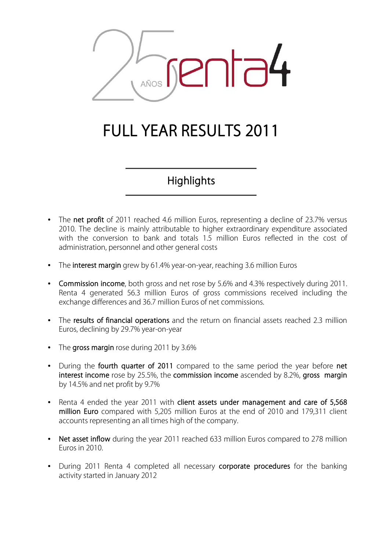

# **FULL YEAR RESULTS 2011**

**Highlights**

- The **net profit** of 2011 reached 4.6 million Euros, representing a decline of 23.7% versus 2010. The decline is mainly attributable to higher extraordinary expenditure associated with the conversion to bank and totals 1.5 million Euros reflected in the cost of administration, personnel and other general costs
- The **interest margin** grew by 61.4% year-on-year, reaching 3.6 million Euros
- **Commission income**, both gross and net rose by 5.6% and 4.3% respectively during 2011. Renta 4 generated 56.3 million Euros of gross commissions received including the exchange differences and 36.7 million Euros of net commissions.
- The **results of financial operations** and the return on financial assets reached 2.3 million Euros, declining by 29.7% year-on-year
- The **gross margin** rose during 2011 by 3.6%
- During the **fourth quarter of 2011** compared to the same period the year before **net interest income** rose by 25.5%, the **commission income** ascended by 8.2%, **gross margin** by 14.5% and net profit by 9.7%
- Renta 4 ended the year 2011 with **client assets under management and care of 5,568 million Euro** compared with 5,205 million Euros at the end of 2010 and 179,311 client accounts representing an all times high of the company.
- Net asset inflow during the year 2011 reached 633 million Euros compared to 278 million Euros in 2010.
- During 2011 Renta 4 completed all necessary **corporate procedures** for the banking activity started in January 2012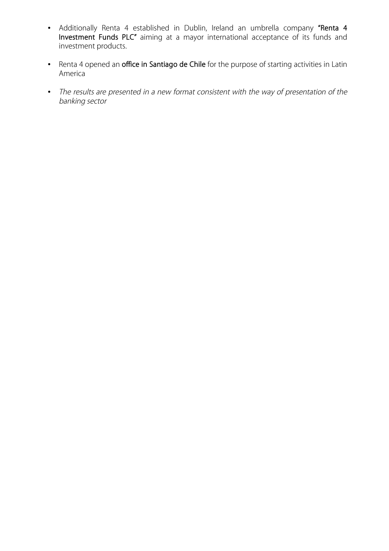- Additionally Renta 4 established in Dublin, Ireland an umbrella company **"Renta 4 Investment Funds PLC"** aiming at a mayor international acceptance of its funds and investment products.
- Renta 4 opened an **office in Santiago de Chile** for the purpose of starting activities in Latin America
- *The results are presented in a new format consistent with the way of presentation of the banking sector*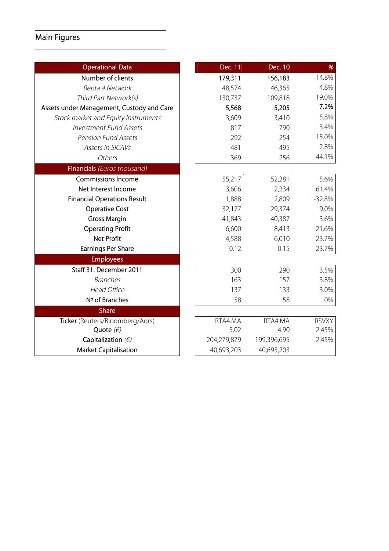# **Main Figures**

| <b>Operational Data</b>                   | Dec. 11     | Dec. 10     | %            |
|-------------------------------------------|-------------|-------------|--------------|
| Number of clients                         | 179,311     | 156,183     | 14.8%        |
| Renta 4 Network                           | 48,574      | 46,365      | 4.8%         |
| Third Part Network(s)                     | 130,737     | 109,818     | 19.0%        |
| Assets under Management, Custody and Care | 5,568       | 5,205       | 7.2%         |
| Stock market and Equity Instruments       | 3,609       | 3,410       | 5.8%         |
| <b>Investment Fund Assets</b>             | 817         | 790         | 3.4%         |
| <b>Pension Fund Assets</b>                | 292         | 254         | 15.0%        |
| Assets in SICAVs                          | 481         | 495         | $-2.8%$      |
| Others                                    | 369         | 256         | 44.1%        |
| Financials (Euros thousand)               |             |             |              |
| <b>Commissions Income</b>                 | 55,217      | 52,281      | 5.6%         |
| Net Interest Income                       | 3,606       | 2,234       | 61.4%        |
| <b>Financial Operations Result</b>        | 1,888       | 2,809       | $-32.8%$     |
| <b>Operative Cost</b>                     | 32,177      | 29,374      | 9.0%         |
| <b>Gross Margin</b>                       | 41,843      | 40,387      | 3.6%         |
| <b>Operating Profit</b>                   | 6,600       | 8,413       | $-21.6%$     |
| <b>Net Profit</b>                         | 4,588       | 6,010       | $-23.7%$     |
| <b>Earnings Per Share</b>                 | 0.12        | 0.15        | $-23.7%$     |
| <b>Employees</b>                          |             |             |              |
| Staff 31. December 2011                   | 300         | 290         | 3.5%         |
| <b>Branches</b>                           | 163         | 157         | 3.8%         |
| <b>Head Office</b>                        | 137         | 133         | 3.0%         |
| Nº of Branches                            | 58          | 58          | 0%           |
| <b>Share</b>                              |             |             |              |
| Ticker (Reuters/Bloomberg/Adrs)           | RTA4.MA     | RTA4.MA     | <b>RSVXY</b> |
| Quote $(\epsilon)$                        | 5.02        | 4.90        | 2.45%        |
| Capitalization $(E)$                      | 204,279,879 | 199,396,695 | 2.45%        |
| <b>Market Capitalisation</b>              | 40,693,203  | 40,693,203  |              |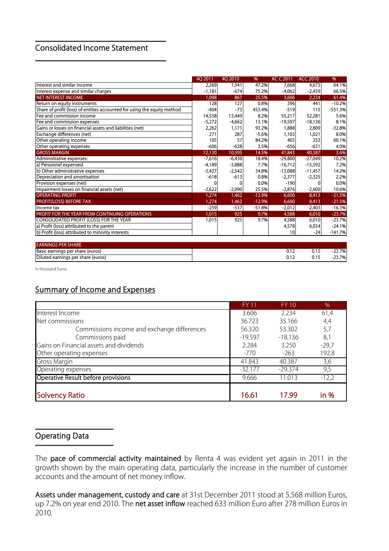#### **Consolidated Income Statement**

|                                                                          | 4Q 2011  | 4Q 2010  | %        | AC C 2011 | <b>ACC 2010</b> | %         |
|--------------------------------------------------------------------------|----------|----------|----------|-----------|-----------------|-----------|
| Interest and similar income                                              | 2,269    | 1,541    | 47.2%    | 7,668     | 4,673           | 64.1%     |
| Interest expense and similar charges                                     | $-1,181$ | $-674$   | 75.2%    | $-4.062$  | $-2,439$        | 66.5%     |
| NET INTEREST INCOME                                                      | 1,088    | 867      | 25.5%    | 3,606     | 2,234           | 61.4%     |
| Return on equity instruments                                             | 128      | 127      | 0.8%     | 396       | 441             | $-10.2%$  |
| Share of profit (loss) of entities accounted for using the equity method | $-404$   | $-73$    | 453.4%   | $-519$    | 115             | $-551.3%$ |
| Fee and commission income                                                | 14,558   | 13,449   | 8.2%     | 55,217    | 52,281          | 5.6%      |
| Fee and commission expenses                                              | $-5,272$ | $-4,662$ | 13.1%    | $-19.597$ | $-18.136$       | 8.1%      |
| Gains or losses on financial assets and liabilities (net)                | 2,262    | 1,171    | 93.2%    | 1,888     | 2,809           | $-32.8%$  |
| Exchange differences (net)                                               | 271      | 287      | $-5.6%$  | 1,103     | 1,021           | 8.0%      |
| Other operating income                                                   | 105      | 57       | 84.2%    | 405       | 253             | 60.1%     |
| Other operating expenses                                                 | $-606$   | $-628$   | 3.5%     | $-656$    | $-631$          | 4.0%      |
| <b>GROSS MARGIN</b>                                                      | 12,130   | 10,595   | 14.5%    | 41,843    | 40,387          | 3.6%      |
| Administrative expenses:                                                 | $-7,616$ | $-6,430$ | 18.4%    | $-29,800$ | $-27,049$       | 10.2%     |
| a) Personnel expensesl                                                   | $-4,189$ | $-3,888$ | 7.7%     | $-16,712$ | $-15,592$       | 7.2%      |
| b) Other administrative expenses                                         | $-3,427$ | $-2,542$ | 34.8%    | $-13,088$ | $-11,457$       | 14.2%     |
| Depreciation and amortisation                                            | $-618$   | $-613$   | 0.8%     | $-2,377$  | $-2,325$        | 2.2%      |
| Provision expenses (net)                                                 |          | 0        | 0.0%     | $-190$    |                 | 0.0%      |
| Impairment losses on financial assets (net)                              | $-2,622$ | $-2,090$ | 25.5%    | $-2,876$  | $-2,600$        | 10.6%     |
| <b>OPERATING PROFIT</b>                                                  | 1,274    | 1,462    | $-12.9%$ | 6,600     | 8,413           | $-21.5%$  |
| <b>PROFIT(LOSS) BEFORE TAX</b>                                           | 1,274    | 1,462    | $-12.9%$ | 6,600     | 8,413           | $-21.5%$  |
| Income tax                                                               | $-259$   | $-537$   | $-51.8%$ | $-2,012$  | $-2,403$        | $-16.3%$  |
| PROFIT FOR THE YEAR FROM CONTINUING OPERATIONS                           | 1,015    | 925      | 9.7%     | 4,588     | 6,010           | $-23.7%$  |
| CONSOLIDATED PROFIT (LOSS) FOR THE YEAR                                  | 1,015    | 925      | 9.7%     | 4,588     | 6,010           | $-23.7%$  |
| a) Profit (loss) attributed to the parent                                |          |          |          | 4,578     | 6,034           | $-24.1%$  |
| b) Profit (loss) attributed to minority interests                        |          |          |          | 10        | $-24$           | $-141.7%$ |
| <b>EARNINGS PER SHARE</b>                                                |          |          |          |           |                 |           |

| <b>EARNINGS PER SHARE</b>                            |            |         |               |
|------------------------------------------------------|------------|---------|---------------|
| <b>Basic</b><br>per share (euros)<br>: earnings      | <b>v.i</b> | ◡.<br>. | $3.7\%$       |
| <b>Dilute</b><br>' share (euros)<br>.ed earnings per | <b></b>    | υ.ι.    | 23.7%<br>2J.I |

In thousand Euros

### **Summary of Income and Expenses**

|                                             | <b>FY 11</b> | FY 10     | %       |
|---------------------------------------------|--------------|-----------|---------|
| Interest Income                             | 3.606        | 2.234     | 61,4    |
| Net commissions                             | 36.723       | 35.166    | 4,4     |
| Commissions income and exchange differences | 56.320       | 53.302    | 5,7     |
| Commissions paid                            | $-19.597$    | $-18.136$ | 8,1     |
| Gains on Financial assets and dividends     | 2.284        | 3.250     | $-29,7$ |
| Other operating expenses                    | $-770$       | $-263$    | 192,8   |
| <b>Gross Margin</b>                         | 41.843       | 40.387    | 3,6     |
| Operating expenses                          | $-32.177$    | $-29.374$ | 9,5     |
| Operative Result before provisions          | 9.666        | 11.013    | $-12,2$ |
|                                             |              |           |         |
| <b>Solvency Ratio</b>                       | 16.61        | 17.99     | in %    |

#### **Operating Data**

The **pace of commercial activity maintained** by Renta 4 was evident yet again in 2011 in the growth shown by the main operating data, particularly the increase in the number of customer accounts and the amount of net money inflow.

**Assets under management, custody and care** at 31st December 2011 stood at 5,568 million Euros, up 7.2% on year end 2010. The **net asset inflow** reached 633 million Euro after 278 million Euros in 2010.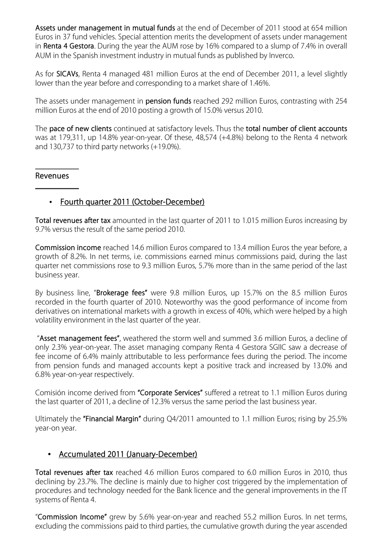**Assets under management in mutual funds** at the end of December of 2011 stood at 654 million Euros in 37 fund vehicles. Special attention merits the development of assets under management in **Renta 4 Gestora**. During the year the AUM rose by 16% compared to a slump of 7.4% in overall AUM in the Spanish investment industry in mutual funds as published by Inverco.

As for **SICAVs**, Renta 4 managed 481 million Euros at the end of December 2011, a level slightly lower than the year before and corresponding to a market share of 1.46%.

The assets under management in **pension funds** reached 292 million Euros, contrasting with 254 million Euros at the end of 2010 posting a growth of 15.0% versus 2010.

The **pace of new clients** continued at satisfactory levels. Thus the **total number of client accounts** was at 179,311, up 14.8% year-on-year. Of these, 48,574 (+4.8%) belong to the Renta 4 network and 130,737 to third party networks (+19.0%).

#### **Revenues**

#### • **Fourth quarter 2011 (October-December)**

**Total revenues after tax** amounted in the last quarter of 2011 to 1.015 million Euros increasing by 9.7% versus the result of the same period 2010.

**Commission income** reached 14.6 million Euros compared to 13.4 million Euros the year before, a growth of 8.2%. In net terms, i.e. commissions earned minus commissions paid, during the last quarter net commissions rose to 9.3 million Euros, 5.7% more than in the same period of the last business year.

By business line, "**Brokerage fees"** were 9.8 million Euros, up 15.7% on the 8.5 million Euros recorded in the fourth quarter of 2010. Noteworthy was the good performance of income from derivatives on international markets with a growth in excess of 40%, which were helped by a high volatility environment in the last quarter of the year.

 "**Asset management fees"**, weathered the storm well and summed 3.6 million Euros, a decline of only 2.3% year-on-year. The asset managing company Renta 4 Gestora SGIIC saw a decrease of fee income of 6.4% mainly attributable to less performance fees during the period. The income from pension funds and managed accounts kept a positive track and increased by 13.0% and 6.8% year-on-year respectively.

Comisión income derived from **"Corporate Services"** suffered a retreat to 1.1 million Euros during the last quarter of 2011, a decline of 12.3% versus the same period the last business year.

Ultimately the **"Financial Margin"** during Q4/2011 amounted to 1.1 million Euros; rising by 25.5% year-on year.

#### • **Accumulated 2011 (January-December)**

**Total revenues after tax** reached 4.6 million Euros compared to 6.0 million Euros in 2010, thus declining by 23.7%. The decline is mainly due to higher cost triggered by the implementation of procedures and technology needed for the Bank licence and the general improvements in the IT systems of Renta 4.

"**Commission Income"** grew by 5.6% year-on-year and reached 55.2 million Euros. In net terms, excluding the commissions paid to third parties, the cumulative growth during the year ascended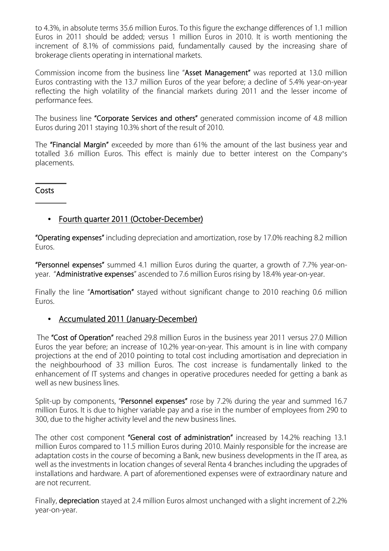to 4.3%, in absolute terms 35.6 million Euros. To this figure the exchange differences of 1.1 million Euros in 2011 should be added; versus 1 million Euros in 2010. It is worth mentioning the increment of 8.1% of commissions paid, fundamentally caused by the increasing share of brokerage clients operating in international markets.

Commission income from the business line "**Asset Management"** was reported at 13.0 million Euros contrasting with the 13.7 million Euros of the year before; a decline of 5.4% year-on-year reflecting the high volatility of the financial markets during 2011 and the lesser income of performance fees.

The business line **"Corporate Services and others"** generated commission income of 4.8 million Euros during 2011 staying 10.3% short of the result of 2010.

The **"Financial Margin"** exceeded by more than 61% the amount of the last business year and totalled 3.6 million Euros. This effect is mainly due to better interest on the Company's placements.

**Costs** 

#### • **Fourth quarter 2011 (October-December)**

**"Operating expenses"** including depreciation and amortization, rose by 17.0% reaching 8.2 million Euros.

**"Personnel expenses"** summed 4.1 million Euros during the quarter, a growth of 7.7% year-onyear. "**Administrative expenses**" ascended to 7.6 million Euros rising by 18.4% year-on-year.

Finally the line "**Amortisation"** stayed without significant change to 2010 reaching 0.6 million Euros.

#### • **Accumulated 2011 (January-December)**

 The **"Cost of Operation"** reached 29.8 million Euros in the business year 2011 versus 27.0 Million Euros the year before; an increase of 10.2% year-on-year. This amount is in line with company projections at the end of 2010 pointing to total cost including amortisation and depreciation in the neighbourhood of 33 million Euros. The cost increase is fundamentally linked to the enhancement of IT systems and changes in operative procedures needed for getting a bank as well as new business lines.

Split-up by components, "**Personnel expenses"** rose by 7.2% during the year and summed 16.7 million Euros. It is due to higher variable pay and a rise in the number of employees from 290 to 300, due to the higher activity level and the new business lines.

The other cost component **"General cost of administration"** increased by 14.2% reaching 13.1 million Euros compared to 11.5 million Euros during 2010. Mainly responsible for the increase are adaptation costs in the course of becoming a Bank, new business developments in the IT area, as well as the investments in location changes of several Renta 4 branches including the upgrades of installations and hardware. A part of aforementioned expenses were of extraordinary nature and are not recurrent.

Finally, **depreciation** stayed at 2.4 million Euros almost unchanged with a slight increment of 2.2% year-on-year.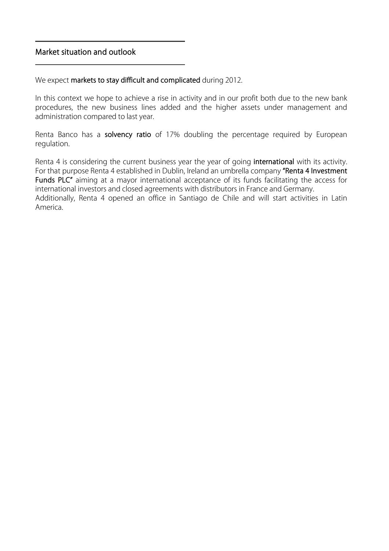#### **Market situation and outlook**

We expect **markets to stay difficult and complicated** during 2012.

In this context we hope to achieve a rise in activity and in our profit both due to the new bank procedures, the new business lines added and the higher assets under management and administration compared to last year.

Renta Banco has a **solvency ratio** of 17% doubling the percentage required by European regulation.

Renta 4 is considering the current business year the year of going **international** with its activity. For that purpose Renta 4 established in Dublin, Ireland an umbrella company **"Renta 4 Investment**  Funds PLC" aiming at a mayor international acceptance of its funds facilitating the access for international investors and closed agreements with distributors in France and Germany. Additionally, Renta 4 opened an office in Santiago de Chile and will start activities in Latin America.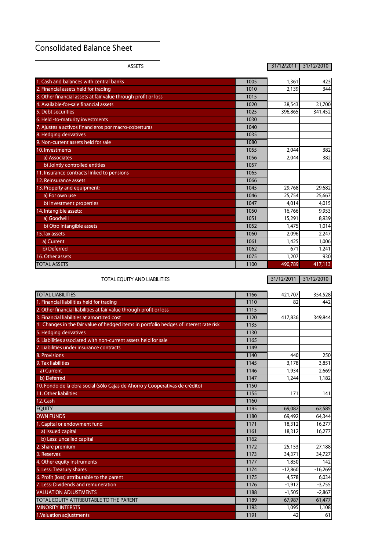## **Consolidated Balance Sheet**

**ASSETS 31/12/2011 31/12/2010**

| 1. Cash and balances with central banks                        | 1005 | 1,361   | 423     |
|----------------------------------------------------------------|------|---------|---------|
| 2. Financial assets held for trading                           | 1010 | 2,139   | 344     |
| 3. Other financial assets at fair value through profit or loss | 1015 |         |         |
| 4. Available-for-sale financial assets                         | 1020 | 38,543  | 31,700  |
| 5. Debt securities                                             | 1025 | 396,865 | 341,452 |
| 6. Held -to-maturity investments                               | 1030 |         |         |
| 7. Ajustes a activos financieros por macro-coberturas          | 1040 |         |         |
| 8. Hedging derivatives                                         | 1035 |         |         |
| 9. Non-current assets held for sale                            | 1080 |         |         |
| 10. Investments                                                | 1055 | 2.044   | 382     |
| a) Associates                                                  | 1056 | 2,044   | 382     |
| b) Jointly controlled entities                                 | 1057 |         |         |
| 11. Insurance contracts linked to pensions                     | 1065 |         |         |
| 12. Reinsurance assets                                         | 1066 |         |         |
| 13. Property and equipment:                                    | 1045 | 29,768  | 29,682  |
| a) For own use                                                 | 1046 | 25,754  | 25,667  |
| b) Investment properties                                       | 1047 | 4,014   | 4,015   |
| 14. Intangible assets:                                         | 1050 | 16,766  | 9,953   |
| a) Goodwill                                                    | 1051 | 15,291  | 8,939   |
| b) Otro intangible assets                                      | 1052 | 1.475   | 1,014   |
| 15. Tax assets                                                 | 1060 | 2.096   | 2,247   |
| a) Current                                                     | 1061 | 1,425   | 1,006   |
| b) Deferred                                                    | 1062 | 671     | 1,241   |
| 16. Other assets                                               | 1075 | 1,207   | 930     |
| <b>TOTAL ASSETS</b>                                            | 1100 | 490,789 | 417,113 |

**TOTAL EQUITY AND LIABILITIES 31/12/2011 31/12/2010**

| <b>TOTAL LIABILITIES</b>                                                               | 1166 | 421,707   | 354,528   |
|----------------------------------------------------------------------------------------|------|-----------|-----------|
| 1. Financial liabilities held for trading                                              | 1110 | 82        | 442       |
| 2. Other financial liabilities at fair value through profit or loss                    | 1115 |           |           |
| 3. Financial liabilities at amortized cost                                             | 1120 | 417,836   | 349,844   |
| 4. Changes in the fair value of hedged items in portfolio hedges of interest rate risk | 1135 |           |           |
| 5. Hedging derivatives                                                                 | 1130 |           |           |
| 6. Liabilities associated with non-current assets held for sale                        | 1165 |           |           |
| 7. Liabilities under insurance contracts                                               | 1149 |           |           |
| 8. Provisions                                                                          | 1140 | 440       | 250       |
| 9. Tax liabilities                                                                     | 1145 | 3,178     | 3,851     |
| a) Current                                                                             | 1146 | 1.934     | 2,669     |
| b) Deferred                                                                            | 1147 | 1,244     | 1,182     |
| 10. Fondo de la obra social (sólo Cajas de Ahorro y Cooperativas de crédito)           | 1150 |           |           |
| 11. Other liabilities                                                                  | 1155 | 171       | 141       |
| 12. Cash                                                                               | 1160 |           |           |
| <b>EQUITY</b>                                                                          | 1195 | 69,082    | 62,585    |
| <b>OWN FUNDS</b>                                                                       | 1180 | 69.492    | 64,344    |
| 1. Capital or endowment fund                                                           | 1171 | 18,312    | 16,277    |
| a) Issued capital                                                                      | 1161 | 18,312    | 16,277    |
| b) Less: uncalled capital                                                              | 1162 |           |           |
| 2. Share premium                                                                       | 1172 | 25,153    | 27,188    |
| 3. Reserves                                                                            | 1173 | 34,371    | 34,727    |
| 4. Other equity instruments                                                            | 1177 | 1,850     | 142       |
| 5. Less: Treasury shares                                                               | 1174 | $-12,860$ | $-16,269$ |
| 6. Profit (loss) attributable to the parent                                            | 1175 | 4,578     | 6,034     |
| 7. Less: Dividends and remuneration                                                    | 1176 | $-1,912$  | $-3,755$  |
| <b>VALUATION ADJUSTMENTS</b>                                                           | 1188 | $-1,505$  | $-2,867$  |
| TOTAL EQUITY ATTRIBUTABLE TO THE PARENT                                                | 1189 | 67,987    | 61,477    |
| <b>MINORITY INTERSTS</b>                                                               | 1193 | 1,095     | 1,108     |
| 1. Valuation adjustments                                                               | 1191 | 42        | 61        |